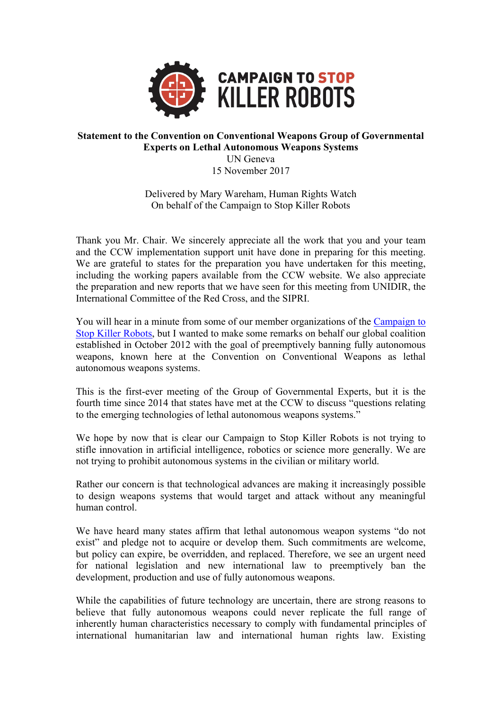

## **Statement to the Convention on Conventional Weapons Group of Governmental Experts on Lethal Autonomous Weapons Systems**

UN Geneva

15 November 2017

Delivered by Mary Wareham, Human Rights Watch On behalf of the Campaign to Stop Killer Robots

Thank you Mr. Chair. We sincerely appreciate all the work that you and your team and the CCW implementation support unit have done in preparing for this meeting. We are grateful to states for the preparation you have undertaken for this meeting, including the working papers available from the CCW website. We also appreciate the preparation and new reports that we have seen for this meeting from UNIDIR, the International Committee of the Red Cross, and the SIPRI.

You will hear in a minute from some of our member organizations of the Campaign to Stop Killer Robots, but I wanted to make some remarks on behalf our global coalition established in October 2012 with the goal of preemptively banning fully autonomous weapons, known here at the Convention on Conventional Weapons as lethal autonomous weapons systems.

This is the first-ever meeting of the Group of Governmental Experts, but it is the fourth time since 2014 that states have met at the CCW to discuss "questions relating to the emerging technologies of lethal autonomous weapons systems."

We hope by now that is clear our Campaign to Stop Killer Robots is not trying to stifle innovation in artificial intelligence, robotics or science more generally. We are not trying to prohibit autonomous systems in the civilian or military world.

Rather our concern is that technological advances are making it increasingly possible to design weapons systems that would target and attack without any meaningful human control.

We have heard many states affirm that lethal autonomous weapon systems "do not exist" and pledge not to acquire or develop them. Such commitments are welcome, but policy can expire, be overridden, and replaced. Therefore, we see an urgent need for national legislation and new international law to preemptively ban the development, production and use of fully autonomous weapons.

While the capabilities of future technology are uncertain, there are strong reasons to believe that fully autonomous weapons could never replicate the full range of inherently human characteristics necessary to comply with fundamental principles of international humanitarian law and international human rights law. Existing